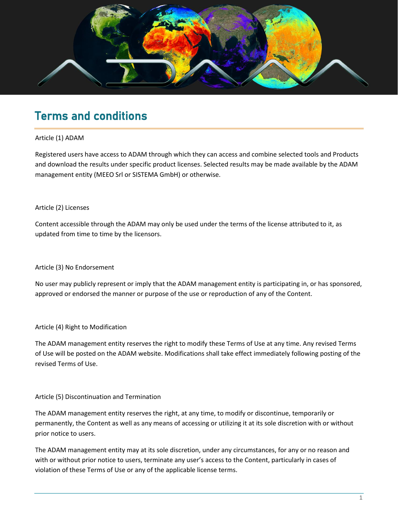

# Terms and conditions

# Article (1) ADAM

Registered users have access to ADAM through which they can access and combine selected tools and Products and download the results under specific product licenses. Selected results may be made available by the ADAM management entity (MEEO Srl or SISTEMA GmbH) or otherwise.

# Article (2) Licenses

Content accessible through the ADAM may only be used under the terms of the license attributed to it, as updated from time to time by the licensors.

# Article (3) No Endorsement

No user may publicly represent or imply that the ADAM management entity is participating in, or has sponsored, approved or endorsed the manner or purpose of the use or reproduction of any of the Content.

# Article (4) Right to Modification

The ADAM management entity reserves the right to modify these Terms of Use at any time. Any revised Terms of Use will be posted on the ADAM website. Modifications shall take effect immediately following posting of the revised Terms of Use.

# Article (5) Discontinuation and Termination

The ADAM management entity reserves the right, at any time, to modify or discontinue, temporarily or permanently, the Content as well as any means of accessing or utilizing it at its sole discretion with or without prior notice to users.

The ADAM management entity may at its sole discretion, under any circumstances, for any or no reason and with or without prior notice to users, terminate any user's access to the Content, particularly in cases of violation of these Terms of Use or any of the applicable license terms.